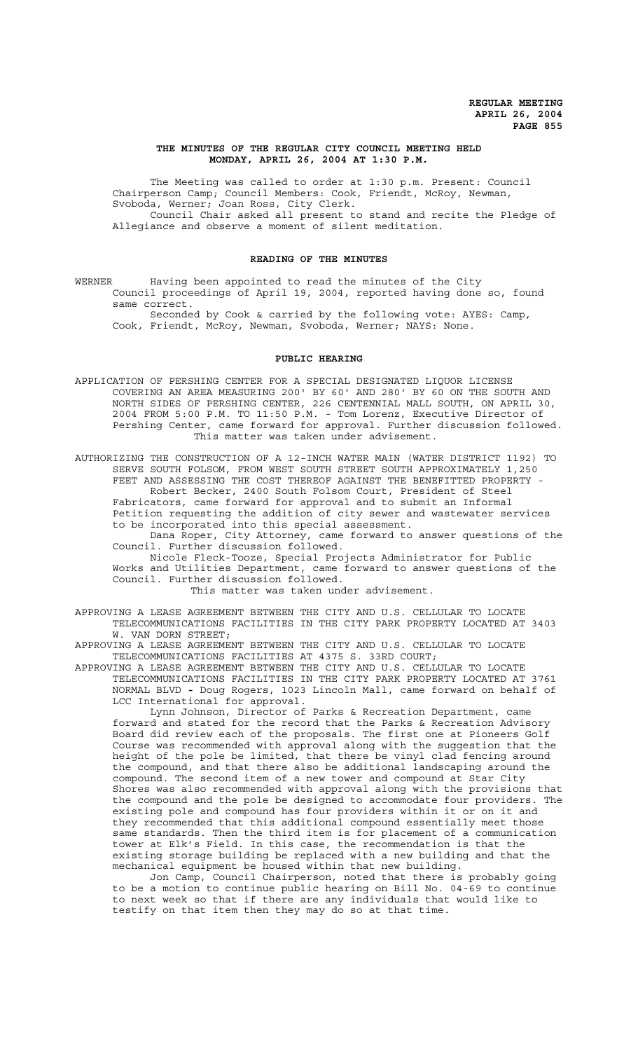### **THE MINUTES OF THE REGULAR CITY COUNCIL MEETING HELD MONDAY, APRIL 26, 2004 AT 1:30 P.M.**

The Meeting was called to order at 1:30 p.m. Present: Council Chairperson Camp; Council Members: Cook, Friendt, McRoy, Newman, Svoboda, Werner; Joan Ross, City Clerk. Council Chair asked all present to stand and recite the Pledge of

Allegiance and observe a moment of silent meditation.

## **READING OF THE MINUTES**

WERNER Having been appointed to read the minutes of the City Council proceedings of April 19, 2004, reported having done so, found same correct.

Seconded by Cook & carried by the following vote: AYES: Camp, Cook, Friendt, McRoy, Newman, Svoboda, Werner; NAYS: None.

### **PUBLIC HEARING**

APPLICATION OF PERSHING CENTER FOR A SPECIAL DESIGNATED LIQUOR LICENSE COVERING AN AREA MEASURING 200' BY 60' AND 280' BY 60 ON THE SOUTH AND NORTH SIDES OF PERSHING CENTER, 226 CENTENNIAL MALL SOUTH, ON APRIL 30, 2004 FROM 5:00 P.M. TO 11:50 P.M. - Tom Lorenz, Executive Director of Pershing Center, came forward for approval. Further discussion followed. This matter was taken under advisement.

AUTHORIZING THE CONSTRUCTION OF A 12-INCH WATER MAIN (WATER DISTRICT 1192) TO SERVE SOUTH FOLSOM, FROM WEST SOUTH STREET SOUTH APPROXIMATELY 1,250 FEET AND ASSESSING THE COST THEREOF AGAINST THE BENEFITTED PROPERTY -Robert Becker, 2400 South Folsom Court, President of Steel Fabricators, came forward for approval and to submit an Informal

Petition requesting the addition of city sewer and wastewater services to be incorporated into this special assessment.

Dana Roper, City Attorney, came forward to answer questions of the Council. Further discussion followed. Nicole Fleck-Tooze, Special Projects Administrator for Public

Works and Utilities Department, came forward to answer questions of the Council. Further discussion followed.

This matter was taken under advisement.

APPROVING A LEASE AGREEMENT BETWEEN THE CITY AND U.S. CELLULAR TO LOCATE TELECOMMUNICATIONS FACILITIES IN THE CITY PARK PROPERTY LOCATED AT 3403 W. VAN DORN STREET;

APPROVING A LEASE AGREEMENT BETWEEN THE CITY AND U.S. CELLULAR TO LOCATE TELECOMMUNICATIONS FACILITIES AT 4375 S. 33RD COURT;

APPROVING A LEASE AGREEMENT BETWEEN THE CITY AND U.S. CELLULAR TO LOCATE TELECOMMUNICATIONS FACILITIES IN THE CITY PARK PROPERTY LOCATED AT 3761 NORMAL BLVD **-** Doug Rogers, 1023 Lincoln Mall, came forward on behalf of LCC International for approval.

Lynn Johnson, Director of Parks & Recreation Department, came forward and stated for the record that the Parks & Recreation Advisory Board did review each of the proposals. The first one at Pioneers Golf Course was recommended with approval along with the suggestion that the height of the pole be limited, that there be vinyl clad fencing around the compound, and that there also be additional landscaping around the compound. The second item of a new tower and compound at Star City Shores was also recommended with approval along with the provisions that the compound and the pole be designed to accommodate four providers. The existing pole and compound has four providers within it or on it and they recommended that this additional compound essentially meet those same standards. Then the third item is for placement of a communication tower at Elk's Field. In this case, the recommendation is that the existing storage building be replaced with a new building and that the mechanical equipment be housed within that new building.

Jon Camp, Council Chairperson, noted that there is probably going to be a motion to continue public hearing on Bill No. 04-69 to continue to next week so that if there are any individuals that would like to testify on that item then they may do so at that time.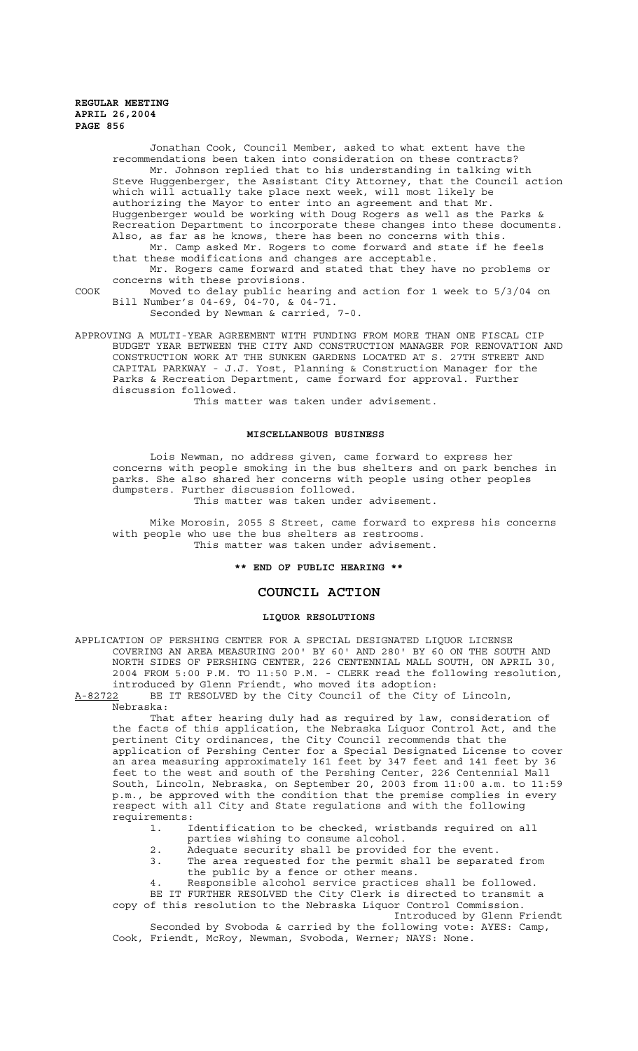Jonathan Cook, Council Member, asked to what extent have the recommendations been taken into consideration on these contracts? Mr. Johnson replied that to his understanding in talking with Steve Huggenberger, the Assistant City Attorney, that the Council action which will actually take place next week, will most likely be authorizing the Mayor to enter into an agreement and that Mr. Huggenberger would be working with Doug Rogers as well as the Parks & Recreation Department to incorporate these changes into these documents. Also, as far as he knows, there has been no concerns with this. Mr. Camp asked Mr. Rogers to come forward and state if he feels that these modifications and changes are acceptable.

Mr. Rogers came forward and stated that they have no problems or concerns with these provisions.

COOK Moved to delay public hearing and action for 1 week to 5/3/04 on Bill Number's 04-69, 04-70, & 04-71.

Seconded by Newman & carried, 7-0.

APPROVING A MULTI-YEAR AGREEMENT WITH FUNDING FROM MORE THAN ONE FISCAL CIP BUDGET YEAR BETWEEN THE CITY AND CONSTRUCTION MANAGER FOR RENOVATION AND CONSTRUCTION WORK AT THE SUNKEN GARDENS LOCATED AT S. 27TH STREET AND CAPITAL PARKWAY - J.J. Yost, Planning & Construction Manager for the Parks & Recreation Department, came forward for approval. Further discussion followed.

This matter was taken under advisement.

## **MISCELLANEOUS BUSINESS**

Lois Newman, no address given, came forward to express her concerns with people smoking in the bus shelters and on park benches in parks. She also shared her concerns with people using other peoples dumpsters. Further discussion followed.

This matter was taken under advisement.

Mike Morosin, 2055 S Street, came forward to express his concerns with people who use the bus shelters as restrooms. This matter was taken under advisement.

**\*\* END OF PUBLIC HEARING \*\***

# **COUNCIL ACTION**

# **LIQUOR RESOLUTIONS**

APPLICATION OF PERSHING CENTER FOR A SPECIAL DESIGNATED LIQUOR LICENSE COVERING AN AREA MEASURING 200' BY 60' AND 280' BY 60 ON THE SOUTH AND NORTH SIDES OF PERSHING CENTER, 226 CENTENNIAL MALL SOUTH, ON APRIL 30, 2004 FROM 5:00 P.M. TO 11:50 P.M. - CLERK read the following resolution, introduced by Glenn Friendt, who moved its adoption:

A-82722 BE IT RESOLVED by the City Council of the City of Lincoln, Nebraska:

That after hearing duly had as required by law, consideration of the facts of this application, the Nebraska Liquor Control Act, and the pertinent City ordinances, the City Council recommends that the application of Pershing Center for a Special Designated License to cover an area measuring approximately 161 feet by 347 feet and 141 feet by 36 feet to the west and south of the Pershing Center, 226 Centennial Mall South, Lincoln, Nebraska, on September 20, 2003 from 11:00 a.m. to 11:59 p.m., be approved with the condition that the premise complies in every respect with all City and State regulations and with the following requirements:

- 1. Identification to be checked, wristbands required on all parties wishing to consume alcohol.
- 2. Adequate security shall be provided for the event.
- 3. The area requested for the permit shall be separated from the public by a fence or other means.
- 4. Responsible alcohol service practices shall be followed.

BE IT FURTHER RESOLVED the City Clerk is directed to transmit a

copy of this resolution to the Nebraska Liquor Control Commission. Introduced by Glenn Friendt

Seconded by Svoboda & carried by the following vote: AYES: Camp, Cook, Friendt, McRoy, Newman, Svoboda, Werner; NAYS: None.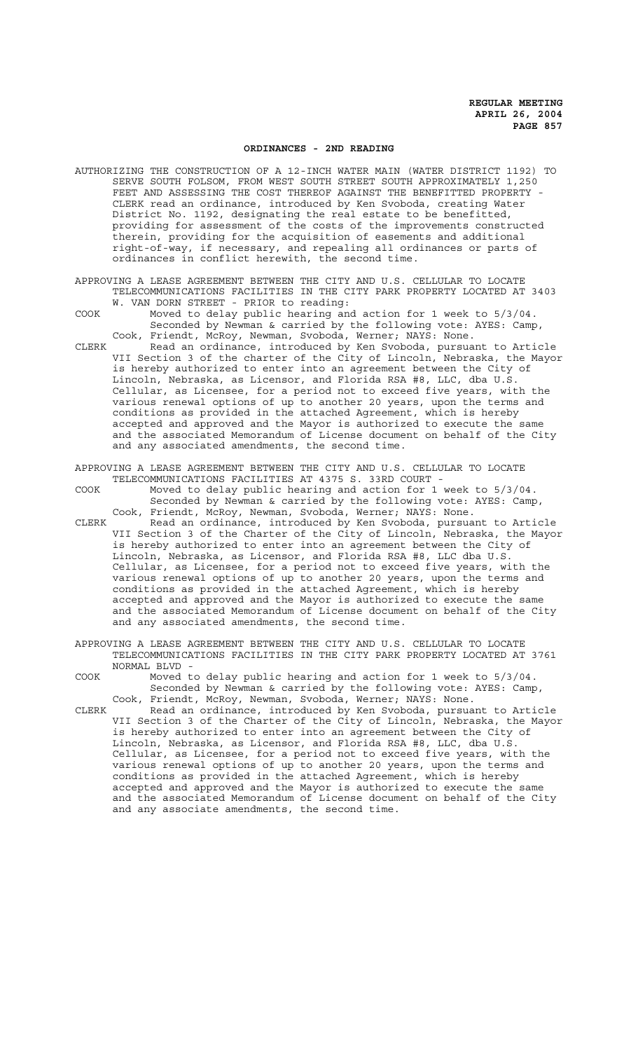#### **ORDINANCES - 2ND READING**

- AUTHORIZING THE CONSTRUCTION OF A 12-INCH WATER MAIN (WATER DISTRICT 1192) TO SERVE SOUTH FOLSOM, FROM WEST SOUTH STREET SOUTH APPROXIMATELY 1,250 FEET AND ASSESSING THE COST THEREOF AGAINST THE BENEFITTED PROPERTY -CLERK read an ordinance, introduced by Ken Svoboda, creating Water District No. 1192, designating the real estate to be benefitted, providing for assessment of the costs of the improvements constructed therein, providing for the acquisition of easements and additional right-of-way, if necessary, and repealing all ordinances or parts of ordinances in conflict herewith, the second time.
- APPROVING A LEASE AGREEMENT BETWEEN THE CITY AND U.S. CELLULAR TO LOCATE TELECOMMUNICATIONS FACILITIES IN THE CITY PARK PROPERTY LOCATED AT 3403 W. VAN DORN STREET - PRIOR to reading:
- COOK Moved to delay public hearing and action for 1 week to 5/3/04. Seconded by Newman & carried by the following vote: AYES: Camp, Cook, Friendt, McRoy, Newman, Svoboda, Werner; NAYS: None.
- CLERK Read an ordinance, introduced by Ken Svoboda, pursuant to Article VII Section 3 of the charter of the City of Lincoln, Nebraska, the Mayor is hereby authorized to enter into an agreement between the City of Lincoln, Nebraska, as Licensor, and Florida RSA #8, LLC, dba U.S. Cellular, as Licensee, for a period not to exceed five years, with the various renewal options of up to another 20 years, upon the terms and conditions as provided in the attached Agreement, which is hereby accepted and approved and the Mayor is authorized to execute the same and the associated Memorandum of License document on behalf of the City and any associated amendments, the second time.
- APPROVING A LEASE AGREEMENT BETWEEN THE CITY AND U.S. CELLULAR TO LOCATE TELECOMMUNICATIONS FACILITIES AT 4375 S. 33RD COURT -
- COOK Moved to delay public hearing and action for 1 week to 5/3/04. Seconded by Newman & carried by the following vote: AYES: Camp, Cook, Friendt, McRoy, Newman, Svoboda, Werner; NAYS: None.
- CLERK Read an ordinance, introduced by Ken Svoboda, pursuant to Article VII Section 3 of the Charter of the City of Lincoln, Nebraska, the Mayor is hereby authorized to enter into an agreement between the City of Lincoln, Nebraska, as Licensor, and Florida RSA #8, LLC dba U.S. Cellular, as Licensee, for a period not to exceed five years, with the various renewal options of up to another 20 years, upon the terms and conditions as provided in the attached Agreement, which is hereby accepted and approved and the Mayor is authorized to execute the same and the associated Memorandum of License document on behalf of the City and any associated amendments, the second time.
- APPROVING A LEASE AGREEMENT BETWEEN THE CITY AND U.S. CELLULAR TO LOCATE TELECOMMUNICATIONS FACILITIES IN THE CITY PARK PROPERTY LOCATED AT 3761 NORMAL BLVD -
- COOK Moved to delay public hearing and action for 1 week to 5/3/04. Seconded by Newman & carried by the following vote: AYES: Camp, Cook, Friendt, McRoy, Newman, Svoboda, Werner; NAYS: None.
- CLERK Read an ordinance, introduced by Ken Svoboda, pursuant to Article VII Section 3 of the Charter of the City of Lincoln, Nebraska, the Mayor is hereby authorized to enter into an agreement between the City of Lincoln, Nebraska, as Licensor, and Florida RSA #8, LLC, dba U.S. Cellular, as Licensee, for a period not to exceed five years, with the various renewal options of up to another 20 years, upon the terms and conditions as provided in the attached Agreement, which is hereby accepted and approved and the Mayor is authorized to execute the same and the associated Memorandum of License document on behalf of the City and any associate amendments, the second time.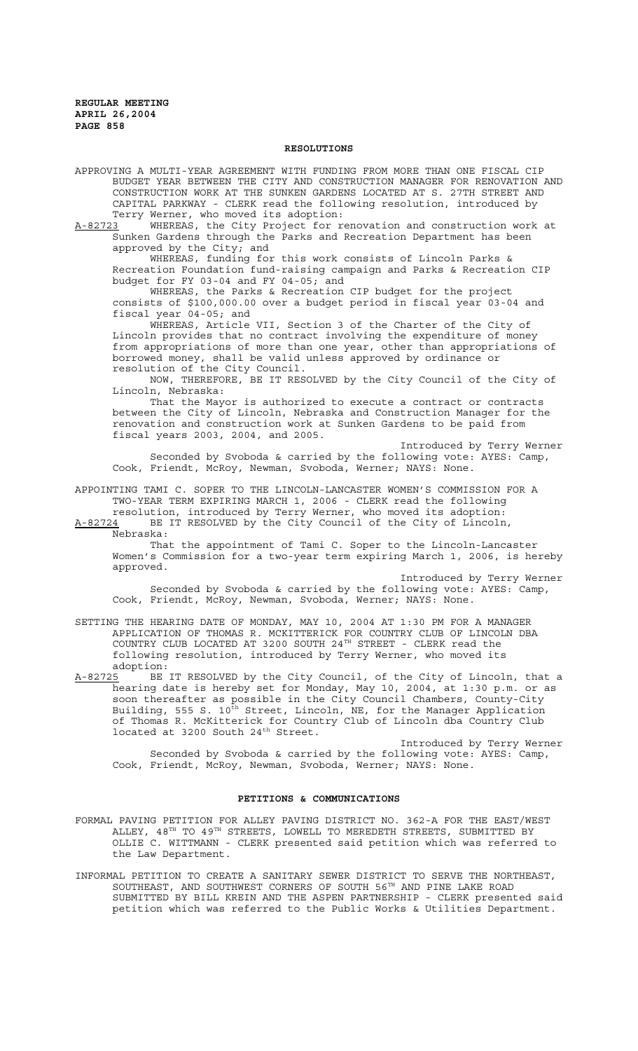## **RESOLUTIONS**

APPROVING A MULTI-YEAR AGREEMENT WITH FUNDING FROM MORE THAN ONE FISCAL CIP BUDGET YEAR BETWEEN THE CITY AND CONSTRUCTION MANAGER FOR RENOVATION AND CONSTRUCTION WORK AT THE SUNKEN GARDENS LOCATED AT S. 27TH STREET AND CAPITAL PARKWAY - CLERK read the following resolution, introduced by Terry Werner, who moved its adoption:<br>A-82723 WHEREAS, the City Project for re

A-82723 WHEREAS, the City Project for renovation and construction work at Sunken Gardens through the Parks and Recreation Department has been approved by the City; and

WHEREAS, funding for this work consists of Lincoln Parks & Recreation Foundation fund-raising campaign and Parks & Recreation CIP budget for FY 03-04 and FY 04-05; and

WHEREAS, the Parks & Recreation CIP budget for the project consists of \$100,000.00 over a budget period in fiscal year 03-04 and fiscal year 04-05; and

WHEREAS, Article VII, Section 3 of the Charter of the City of Lincoln provides that no contract involving the expenditure of money from appropriations of more than one year, other than appropriations of borrowed money, shall be valid unless approved by ordinance or resolution of the City Council.

NOW, THEREFORE, BE IT RESOLVED by the City Council of the City of Lincoln, Nebraska:

That the Mayor is authorized to execute a contract or contracts between the City of Lincoln, Nebraska and Construction Manager for the renovation and construction work at Sunken Gardens to be paid from fiscal years 2003, 2004, and 2005.

Introduced by Terry Werner Seconded by Svoboda & carried by the following vote: AYES: Camp, Cook, Friendt, McRoy, Newman, Svoboda, Werner; NAYS: None.

APPOINTING TAMI C. SOPER TO THE LINCOLN-LANCASTER WOMEN'S COMMISSION FOR A TWO-YEAR TERM EXPIRING MARCH 1, 2006 - CLERK read the following

resolution, introduced by Terry Werner, who moved its adoption: A-82724 BE IT RESOLVED by the City Council of the City of Lincoln, Nebraska:

That the appointment of Tami C. Soper to the Lincoln-Lancaster Women's Commission for a two-year term expiring March 1, 2006, is hereby approved.

Introduced by Terry Werner Seconded by Svoboda & carried by the following vote: AYES: Camp, Cook, Friendt, McRoy, Newman, Svoboda, Werner; NAYS: None.

SETTING THE HEARING DATE OF MONDAY, MAY 10, 2004 AT 1:30 PM FOR A MANAGER APPLICATION OF THOMAS R. MCKITTERICK FOR COUNTRY CLUB OF LINCOLN DBA COUNTRY CLUB LOCATED AT 3200 SOUTH 24TH STREET - CLERK read the following resolution, introduced by Terry Werner, who moved its adoption:

A-82725 BE IT RESOLVED by the City Council, of the City of Lincoln, that a hearing date is hereby set for Monday, May 10, 2004, at 1:30 p.m. or as soon thereafter as possible in the City Council Chambers, County-City Building, 555 S. 10<sup>th</sup> Street, Lincoln, NE, for the Manager Application of Thomas R. McKitterick for Country Club of Lincoln dba Country Club located at 3200 South 24<sup>th</sup> Street.

Introduced by Terry Werner Seconded by Svoboda & carried by the following vote: AYES: Camp, Cook, Friendt, McRoy, Newman, Svoboda, Werner; NAYS: None.

#### **PETITIONS & COMMUNICATIONS**

- FORMAL PAVING PETITION FOR ALLEY PAVING DISTRICT NO. 362-A FOR THE EAST/WEST ALLEY, 48 $^{\text{\tiny{\textsf{TH}}}}$  TO 49 $^{\text{\tiny{\textsf{TH}}}}$  STREETS, LOWELL TO MEREDETH STREETS, SUBMITTED BY OLLIE C. WITTMANN - CLERK presented said petition which was referred to the Law Department.
- INFORMAL PETITION TO CREATE A SANITARY SEWER DISTRICT TO SERVE THE NORTHEAST, SOUTHEAST, AND SOUTHWEST CORNERS OF SOUTH 56TH AND PINE LAKE ROAD SUBMITTED BY BILL KREIN AND THE ASPEN PARTNERSHIP - CLERK presented said petition which was referred to the Public Works & Utilities Department.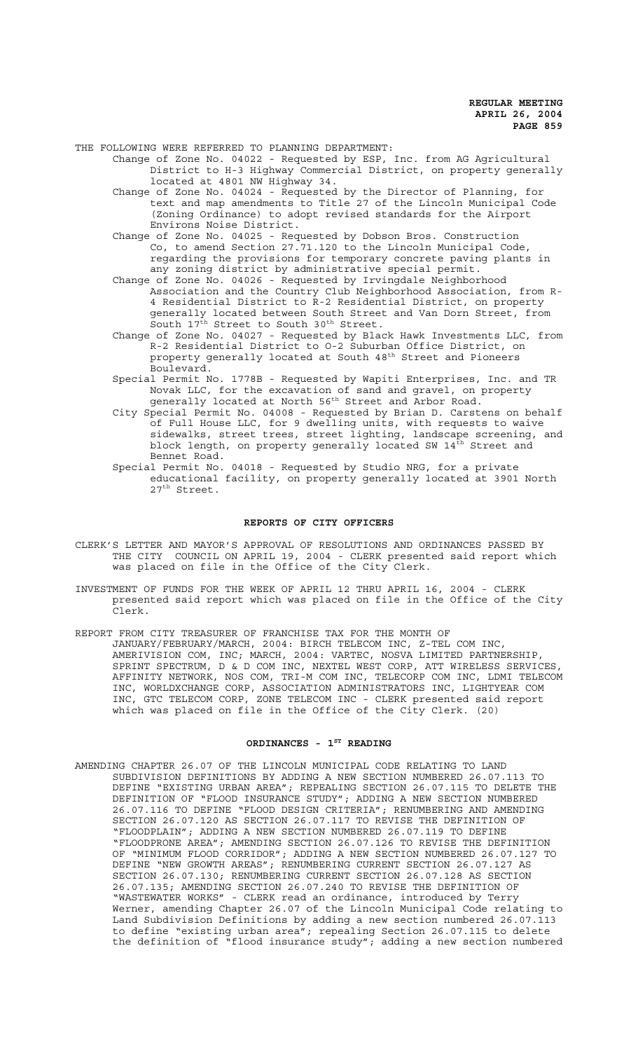THE FOLLOWING WERE REFERRED TO PLANNING DEPARTMENT:

- Change of Zone No. 04022 Requested by ESP, Inc. from AG Agricultural District to H-3 Highway Commercial District, on property generally located at 4801 NW Highway 34.
- Change of Zone No. 04024 Requested by the Director of Planning, for text and map amendments to Title 27 of the Lincoln Municipal Code (Zoning Ordinance) to adopt revised standards for the Airport Environs Noise District.
- Change of Zone No. 04025 Requested by Dobson Bros. Construction Co, to amend Section 27.71.120 to the Lincoln Municipal Code, regarding the provisions for temporary concrete paving plants in any zoning district by administrative special permit.
- Change of Zone No. 04026 Requested by Irvingdale Neighborhood Association and the Country Club Neighborhood Association, from R-4 Residential District to R-2 Residential District, on property generally located between South Street and Van Dorn Street, from South 17<sup>th</sup> Street to South 30<sup>th</sup> Street.
- Change of Zone No. 04027 Requested by Black Hawk Investments LLC, from R-2 Residential District to O-2 Suburban Office District, on property generally located at South 48th Street and Pioneers Boulevard.
- Special Permit No. 1778B Requested by Wapiti Enterprises, Inc. and TR Novak LLC, for the excavation of sand and gravel, on property generally located at North 56<sup>th</sup> Street and Arbor Road.
- City Special Permit No. 04008 Requested by Brian D. Carstens on behalf of Full House LLC, for 9 dwelling units, with requests to waive sidewalks, street trees, street lighting, landscape screening, and block length, on property generally located SW 14 $^{\rm th}$  Street and Bennet Road.
- Special Permit No. 04018 Requested by Studio NRG, for a private educational facility, on property generally located at 3901 North  $27<sup>th</sup>$  Street.

# **REPORTS OF CITY OFFICERS**

- CLERK'S LETTER AND MAYOR'S APPROVAL OF RESOLUTIONS AND ORDINANCES PASSED BY THE CITY COUNCIL ON APRIL 19, 2004 - CLERK presented said report which was placed on file in the Office of the City Clerk.
- INVESTMENT OF FUNDS FOR THE WEEK OF APRIL 12 THRU APRIL 16, 2004 CLERK presented said report which was placed on file in the Office of the City Clerk.
- REPORT FROM CITY TREASURER OF FRANCHISE TAX FOR THE MONTH OF JANUARY/FEBRUARY/MARCH, 2004: BIRCH TELECOM INC, Z-TEL COM INC, AMERIVISION COM, INC; MARCH, 2004: VARTEC, NOSVA LIMITED PARTNERSHIP, SPRINT SPECTRUM, D & D COM INC, NEXTEL WEST CORP, ATT WIRELESS SERVICES, AFFINITY NETWORK, NOS COM, TRI-M COM INC, TELECORP COM INC, LDMI TELECOM INC, WORLDXCHANGE CORP, ASSOCIATION ADMINISTRATORS INC, LIGHTYEAR COM INC, GTC TELECOM CORP, ZONE TELECOM INC - CLERK presented said report which was placed on file in the Office of the City Clerk. (20)

# ORDINANCES - 1<sup>ST</sup> READING

AMENDING CHAPTER 26.07 OF THE LINCOLN MUNICIPAL CODE RELATING TO LAND SUBDIVISION DEFINITIONS BY ADDING A NEW SECTION NUMBERED 26.07.113 TO DEFINE "EXISTING URBAN AREA"; REPEALING SECTION 26.07.115 TO DELETE THE DEFINITION OF "FLOOD INSURANCE STUDY"; ADDING A NEW SECTION NUMBERED 26.07.116 TO DEFINE "FLOOD DESIGN CRITERIA"; RENUMBERING AND AMENDING SECTION 26.07.120 AS SECTION 26.07.117 TO REVISE THE DEFINITION OF "FLOODPLAIN"; ADDING A NEW SECTION NUMBERED 26.07.119 TO DEFINE "FLOODPRONE AREA"; AMENDING SECTION 26.07.126 TO REVISE THE DEFINITION OF "MINIMUM FLOOD CORRIDOR"; ADDING A NEW SECTION NUMBERED 26.07.127 TO DEFINE "NEW GROWTH AREAS"; RENUMBERING CURRENT SECTION 26.07.127 AS SECTION 26.07.130; RENUMBERING CURRENT SECTION 26.07.128 AS SECTION 26.07.135; AMENDING SECTION 26.07.240 TO REVISE THE DEFINITION OF "WASTEWATER WORKS" - CLERK read an ordinance, introduced by Terry Werner, amending Chapter 26.07 of the Lincoln Municipal Code relating to Land Subdivision Definitions by adding a new section numbered 26.07.113 to define "existing urban area"; repealing Section 26.07.115 to delete the definition of "flood insurance study"; adding a new section numbered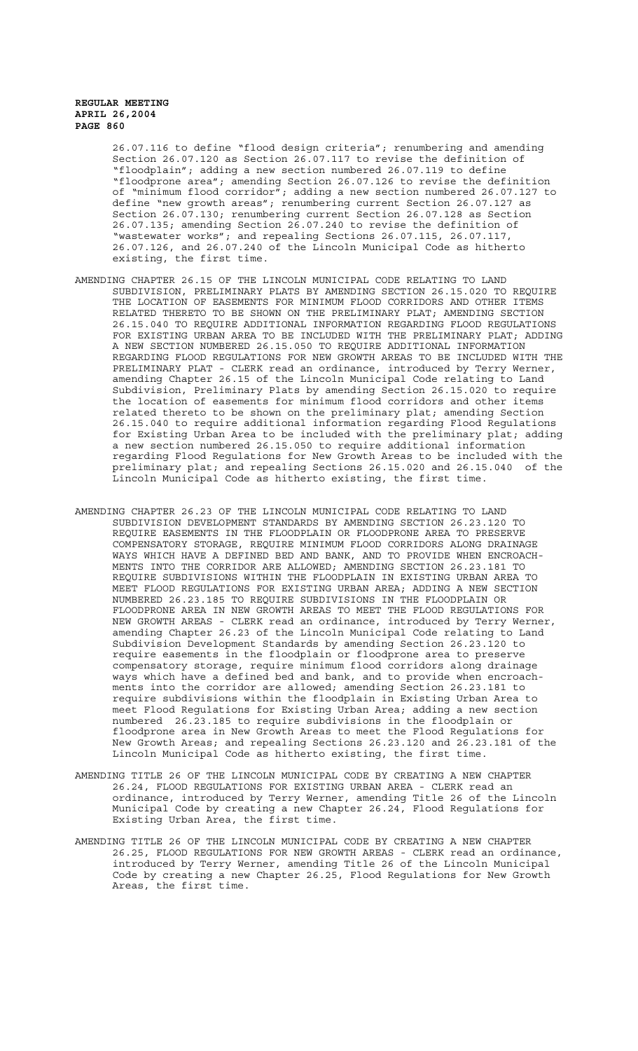26.07.116 to define "flood design criteria"; renumbering and amending Section 26.07.120 as Section 26.07.117 to revise the definition of "floodplain"; adding a new section numbered 26.07.119 to define "floodprone area"; amending Section 26.07.126 to revise the definition of "minimum flood corridor"; adding a new section numbered 26.07.127 to define "new growth areas"; renumbering current Section 26.07.127 as Section 26.07.130; renumbering current Section 26.07.128 as Section  $26.07.135$ ; amending Section  $26.07.240$  to revise the definition of "wastewater works"; and repealing Sections 26.07.115, 26.07.117, 26.07.126, and 26.07.240 of the Lincoln Municipal Code as hitherto existing, the first time.

- AMENDING CHAPTER 26.15 OF THE LINCOLN MUNICIPAL CODE RELATING TO LAND SUBDIVISION, PRELIMINARY PLATS BY AMENDING SECTION 26.15.020 TO REQUIRE THE LOCATION OF EASEMENTS FOR MINIMUM FLOOD CORRIDORS AND OTHER ITEMS RELATED THERETO TO BE SHOWN ON THE PRELIMINARY PLAT; AMENDING SECTION 26.15.040 TO REQUIRE ADDITIONAL INFORMATION REGARDING FLOOD REGULATIONS FOR EXISTING URBAN AREA TO BE INCLUDED WITH THE PRELIMINARY PLAT; ADDING A NEW SECTION NUMBERED 26.15.050 TO REQUIRE ADDITIONAL INFORMATION REGARDING FLOOD REGULATIONS FOR NEW GROWTH AREAS TO BE INCLUDED WITH THE PRELIMINARY PLAT - CLERK read an ordinance, introduced by Terry Werner, amending Chapter 26.15 of the Lincoln Municipal Code relating to Land Subdivision, Preliminary Plats by amending Section 26.15.020 to require the location of easements for minimum flood corridors and other items related thereto to be shown on the preliminary plat; amending Section 26.15.040 to require additional information regarding Flood Regulations for Existing Urban Area to be included with the preliminary plat; adding a new section numbered 26.15.050 to require additional information regarding Flood Regulations for New Growth Areas to be included with the preliminary plat; and repealing Sections 26.15.020 and 26.15.040 of the Lincoln Municipal Code as hitherto existing, the first time.
- AMENDING CHAPTER 26.23 OF THE LINCOLN MUNICIPAL CODE RELATING TO LAND SUBDIVISION DEVELOPMENT STANDARDS BY AMENDING SECTION 26.23.120 TO REQUIRE EASEMENTS IN THE FLOODPLAIN OR FLOODPRONE AREA TO PRESERVE COMPENSATORY STORAGE, REQUIRE MINIMUM FLOOD CORRIDORS ALONG DRAINAGE WAYS WHICH HAVE A DEFINED BED AND BANK, AND TO PROVIDE WHEN ENCROACH-MENTS INTO THE CORRIDOR ARE ALLOWED; AMENDING SECTION 26.23.181 TO REQUIRE SUBDIVISIONS WITHIN THE FLOODPLAIN IN EXISTING URBAN AREA TO MEET FLOOD REGULATIONS FOR EXISTING URBAN AREA; ADDING A NEW SECTION NUMBERED 26.23.185 TO REQUIRE SUBDIVISIONS IN THE FLOODPLAIN OR FLOODPRONE AREA IN NEW GROWTH AREAS TO MEET THE FLOOD REGULATIONS FOR NEW GROWTH AREAS - CLERK read an ordinance, introduced by Terry Werner, amending Chapter 26.23 of the Lincoln Municipal Code relating to Land Subdivision Development Standards by amending Section 26.23.120 to require easements in the floodplain or floodprone area to preserve compensatory storage, require minimum flood corridors along drainage ways which have a defined bed and bank, and to provide when encroachments into the corridor are allowed; amending Section 26.23.181 to require subdivisions within the floodplain in Existing Urban Area to meet Flood Regulations for Existing Urban Area; adding a new section numbered 26.23.185 to require subdivisions in the floodplain or floodprone area in New Growth Areas to meet the Flood Regulations for New Growth Areas; and repealing Sections 26.23.120 and 26.23.181 of the Lincoln Municipal Code as hitherto existing, the first time.
- AMENDING TITLE 26 OF THE LINCOLN MUNICIPAL CODE BY CREATING A NEW CHAPTER 26.24, FLOOD REGULATIONS FOR EXISTING URBAN AREA - CLERK read an ordinance, introduced by Terry Werner, amending Title 26 of the Lincoln Municipal Code by creating a new Chapter 26.24, Flood Regulations for Existing Urban Area, the first time.
- AMENDING TITLE 26 OF THE LINCOLN MUNICIPAL CODE BY CREATING A NEW CHAPTER 26.25, FLOOD REGULATIONS FOR NEW GROWTH AREAS - CLERK read an ordinance, introduced by Terry Werner, amending Title 26 of the Lincoln Municipal Code by creating a new Chapter 26.25, Flood Regulations for New Growth Areas, the first time.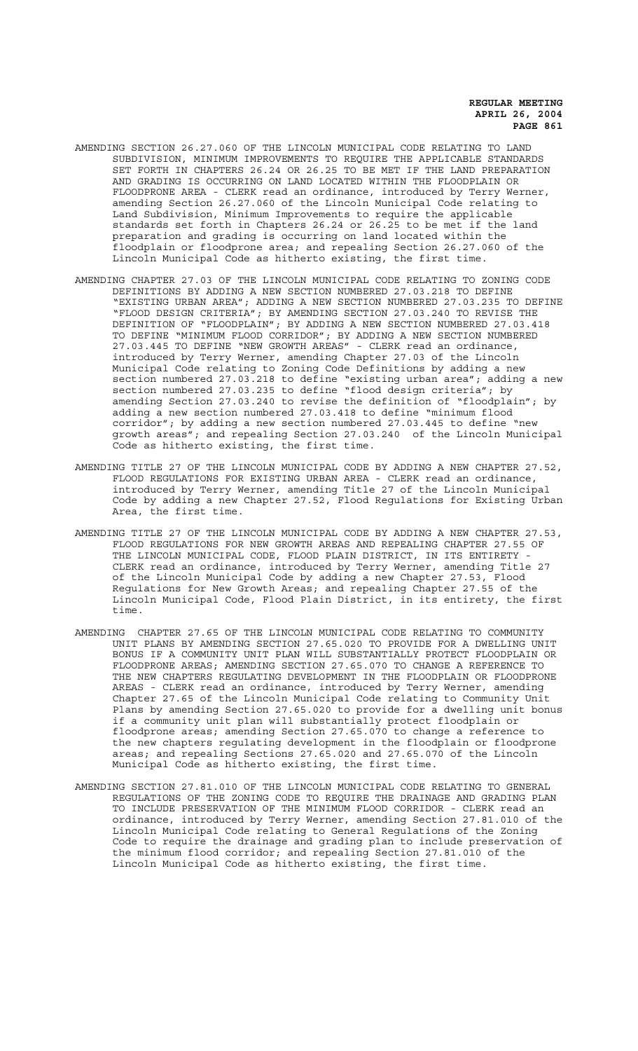- AMENDING SECTION 26.27.060 OF THE LINCOLN MUNICIPAL CODE RELATING TO LAND SUBDIVISION, MINIMUM IMPROVEMENTS TO REQUIRE THE APPLICABLE STANDARDS SET FORTH IN CHAPTERS 26.24 OR 26.25 TO BE MET IF THE LAND PREPARATION AND GRADING IS OCCURRING ON LAND LOCATED WITHIN THE FLOODPLAIN OR FLOODPRONE AREA - CLERK read an ordinance, introduced by Terry Werner, amending Section 26.27.060 of the Lincoln Municipal Code relating to Land Subdivision, Minimum Improvements to require the applicable standards set forth in Chapters 26.24 or 26.25 to be met if the land preparation and grading is occurring on land located within the floodplain or floodprone area; and repealing Section 26.27.060 of the Lincoln Municipal Code as hitherto existing, the first time.
- AMENDING CHAPTER 27.03 OF THE LINCOLN MUNICIPAL CODE RELATING TO ZONING CODE DEFINITIONS BY ADDING A NEW SECTION NUMBERED 27.03.218 TO DEFINE "EXISTING URBAN AREA"; ADDING A NEW SECTION NUMBERED 27.03.235 TO DEFINE "FLOOD DESIGN CRITERIA"; BY AMENDING SECTION 27.03.240 TO REVISE THE DEFINITION OF "FLOODPLAIN"; BY ADDING A NEW SECTION NUMBERED 27.03.418 TO DEFINE "MINIMUM FLOOD CORRIDOR"; BY ADDING A NEW SECTION NUMBERED 27.03.445 TO DEFINE "NEW GROWTH AREAS" - CLERK read an ordinance, introduced by Terry Werner, amending Chapter 27.03 of the Lincoln Municipal Code relating to Zoning Code Definitions by adding a new section numbered 27.03.218 to define "existing urban area"; adding a new section numbered 27.03.235 to define "flood design criteria"; by amending Section 27.03.240 to revise the definition of "floodplain"; by adding a new section numbered 27.03.418 to define "minimum flood corridor"; by adding a new section numbered 27.03.445 to define "new growth areas"; and repealing Section 27.03.240 of the Lincoln Municipal Code as hitherto existing, the first time.
- AMENDING TITLE 27 OF THE LINCOLN MUNICIPAL CODE BY ADDING A NEW CHAPTER 27.52, FLOOD REGULATIONS FOR EXISTING URBAN AREA - CLERK read an ordinance, introduced by Terry Werner, amending Title 27 of the Lincoln Municipal Code by adding a new Chapter 27.52, Flood Regulations for Existing Urban Area, the first time.
- AMENDING TITLE 27 OF THE LINCOLN MUNICIPAL CODE BY ADDING A NEW CHAPTER 27.53, FLOOD REGULATIONS FOR NEW GROWTH AREAS AND REPEALING CHAPTER 27.55 OF THE LINCOLN MUNICIPAL CODE, FLOOD PLAIN DISTRICT, IN ITS ENTIRETY CLERK read an ordinance, introduced by Terry Werner, amending Title 27 of the Lincoln Municipal Code by adding a new Chapter 27.53, Flood Regulations for New Growth Areas; and repealing Chapter 27.55 of the Lincoln Municipal Code, Flood Plain District, in its entirety, the first time.
- AMENDING CHAPTER 27.65 OF THE LINCOLN MUNICIPAL CODE RELATING TO COMMUNITY UNIT PLANS BY AMENDING SECTION 27.65.020 TO PROVIDE FOR A DWELLING UNIT BONUS IF A COMMUNITY UNIT PLAN WILL SUBSTANTIALLY PROTECT FLOODPLAIN OR FLOODPRONE AREAS; AMENDING SECTION 27.65.070 TO CHANGE A REFERENCE TO THE NEW CHAPTERS REGULATING DEVELOPMENT IN THE FLOODPLAIN OR FLOODPRONE AREAS - CLERK read an ordinance, introduced by Terry Werner, amending Chapter 27.65 of the Lincoln Municipal Code relating to Community Unit Plans by amending Section 27.65.020 to provide for a dwelling unit bonus if a community unit plan will substantially protect floodplain or floodprone areas; amending Section 27.65.070 to change a reference to the new chapters regulating development in the floodplain or floodprone areas; and repealing Sections 27.65.020 and 27.65.070 of the Lincoln Municipal Code as hitherto existing, the first time.
- AMENDING SECTION 27.81.010 OF THE LINCOLN MUNICIPAL CODE RELATING TO GENERAL REGULATIONS OF THE ZONING CODE TO REQUIRE THE DRAINAGE AND GRADING PLAN TO INCLUDE PRESERVATION OF THE MINIMUM FLOOD CORRIDOR - CLERK read an ordinance, introduced by Terry Werner, amending Section 27.81.010 of the Lincoln Municipal Code relating to General Regulations of the Zoning Code to require the drainage and grading plan to include preservation of the minimum flood corridor; and repealing Section 27.81.010 of the Lincoln Municipal Code as hitherto existing, the first time.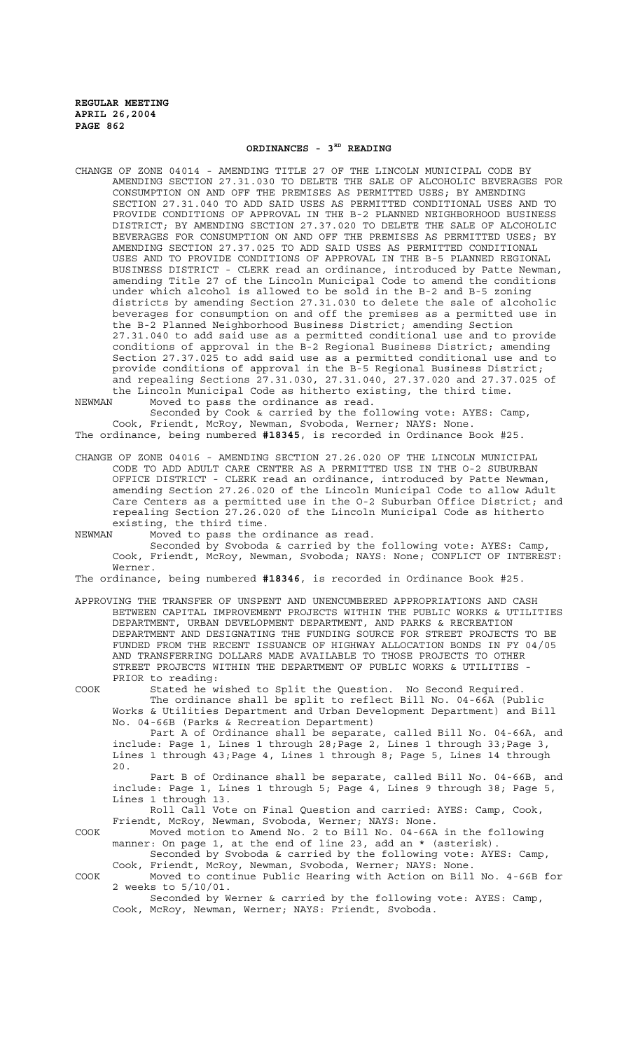### ORDINANCES - 3<sup>RD</sup> READING

CHANGE OF ZONE 04014 - AMENDING TITLE 27 OF THE LINCOLN MUNICIPAL CODE BY AMENDING SECTION 27.31.030 TO DELETE THE SALE OF ALCOHOLIC BEVERAGES FOR CONSUMPTION ON AND OFF THE PREMISES AS PERMITTED USES; BY AMENDING SECTION 27.31.040 TO ADD SAID USES AS PERMITTED CONDITIONAL USES AND TO PROVIDE CONDITIONS OF APPROVAL IN THE B-2 PLANNED NEIGHBORHOOD BUSINESS DISTRICT; BY AMENDING SECTION 27.37.020 TO DELETE THE SALE OF ALCOHOLIC BEVERAGES FOR CONSUMPTION ON AND OFF THE PREMISES AS PERMITTED USES; BY AMENDING SECTION 27.37.025 TO ADD SAID USES AS PERMITTED CONDITIONAL USES AND TO PROVIDE CONDITIONS OF APPROVAL IN THE B-5 PLANNED REGIONAL BUSINESS DISTRICT - CLERK read an ordinance, introduced by Patte Newman, amending Title 27 of the Lincoln Municipal Code to amend the conditions under which alcohol is allowed to be sold in the B-2 and B-5 zoning districts by amending Section 27.31.030 to delete the sale of alcoholic beverages for consumption on and off the premises as a permitted use in the B-2 Planned Neighborhood Business District; amending Section 27.31.040 to add said use as a permitted conditional use and to provide conditions of approval in the B-2 Regional Business District; amending Section 27.37.025 to add said use as a permitted conditional use and to provide conditions of approval in the B-5 Regional Business District; and repealing Sections 27.31.030, 27.31.040, 27.37.020 and 27.37.025 of the Lincoln Municipal Code as hitherto existing, the third time.

NEWMAN Moved to pass the ordinance as read. Seconded by Cook & carried by the following vote: AYES: Camp, Cook, Friendt, McRoy, Newman, Svoboda, Werner; NAYS: None. The ordinance, being numbered **#18345**, is recorded in Ordinance Book #25.

CHANGE OF ZONE 04016 - AMENDING SECTION 27.26.020 OF THE LINCOLN MUNICIPAL CODE TO ADD ADULT CARE CENTER AS A PERMITTED USE IN THE O-2 SUBURBAN OFFICE DISTRICT - CLERK read an ordinance, introduced by Patte Newman, amending Section 27.26.020 of the Lincoln Municipal Code to allow Adult Care Centers as a permitted use in the O-2 Suburban Office District; and repealing Section 27.26.020 of the Lincoln Municipal Code as hitherto existing, the third time.

NEWMAN Moved to pass the ordinance as read. Seconded by Svoboda & carried by the following vote: AYES: Camp, Cook, Friendt, McRoy, Newman, Svoboda; NAYS: None; CONFLICT OF INTEREST: Werner.

The ordinance, being numbered **#18346**, is recorded in Ordinance Book #25.

APPROVING THE TRANSFER OF UNSPENT AND UNENCUMBERED APPROPRIATIONS AND CASH BETWEEN CAPITAL IMPROVEMENT PROJECTS WITHIN THE PUBLIC WORKS & UTILITIES DEPARTMENT, URBAN DEVELOPMENT DEPARTMENT, AND PARKS & RECREATION DEPARTMENT AND DESIGNATING THE FUNDING SOURCE FOR STREET PROJECTS TO BE FUNDED FROM THE RECENT ISSUANCE OF HIGHWAY ALLOCATION BONDS IN FY 04/05 AND TRANSFERRING DOLLARS MADE AVAILABLE TO THOSE PROJECTS TO OTHER STREET PROJECTS WITHIN THE DEPARTMENT OF PUBLIC WORKS & UTILITIES - PRIOR to reading:

COOK Stated he wished to Split the Question. No Second Required. The ordinance shall be split to reflect Bill No. 04-66A (Public Works & Utilities Department and Urban Development Department) and Bill No. 04-66B (Parks & Recreation Department)

Part A of Ordinance shall be separate, called Bill No. 04-66A, and include: Page 1, Lines 1 through 28;Page 2, Lines 1 through 33;Page 3, Lines 1 through 43;Page 4, Lines 1 through 8; Page 5, Lines 14 through 20.

Part B of Ordinance shall be separate, called Bill No. 04-66B, and include: Page 1, Lines 1 through 5; Page 4, Lines 9 through 38; Page 5, Lines 1 through 13.

Roll Call Vote on Final Question and carried: AYES: Camp, Cook, Friendt, McRoy, Newman, Svoboda, Werner; NAYS: None.

COOK Moved motion to Amend No. 2 to Bill No. 04-66A in the following manner: On page 1, at the end of line 23, add an \* (asterisk). Seconded by Svoboda & carried by the following vote: AYES: Camp,

Cook, Friendt, McRoy, Newman, Svoboda, Werner; NAYS: None.

COOK Moved to continue Public Hearing with Action on Bill No. 4-66B for 2 weeks to 5/10/01.

Seconded by Werner & carried by the following vote: AYES: Camp, Cook, McRoy, Newman, Werner; NAYS: Friendt, Svoboda.